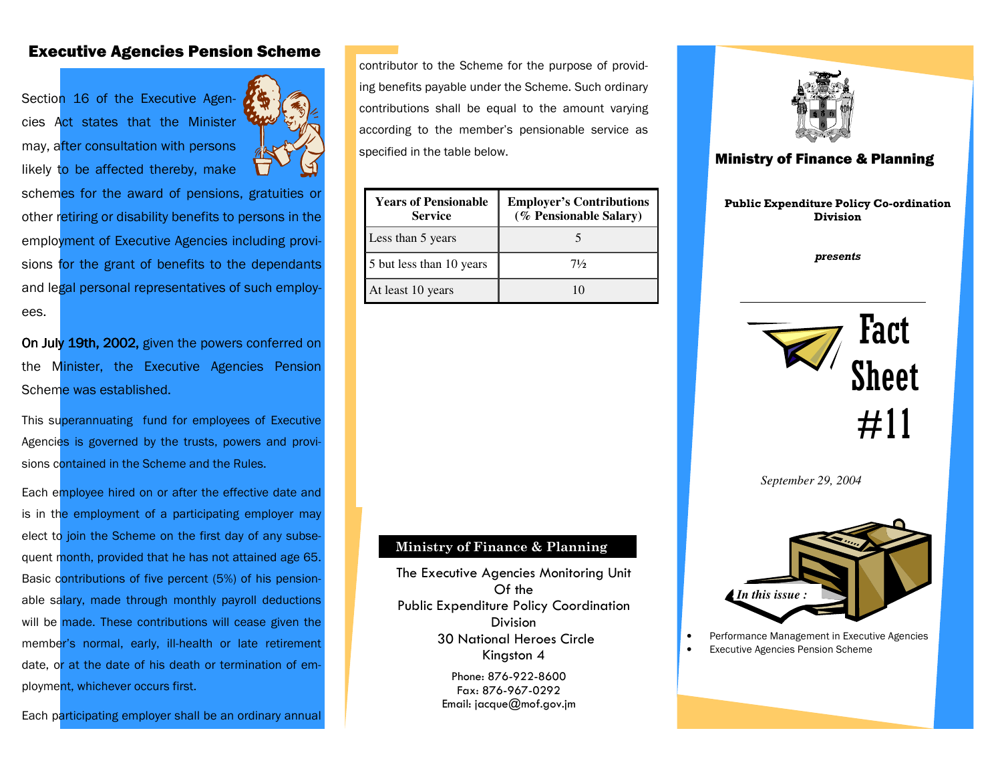## Executive Agencies Pension Scheme

Section 16 of the Executive Agencies Act states that the Minister may, after consultation with persons likely to be affected thereby, make



schemes for the award of pensions, gratuities or other retiring or disability benefits to persons in the employment of Executive Agencies including provisions for the grant of benefits to the dependants and legal personal representatives of such employees.

On July 19th, 2002, given the powers conferred on the Minister, the Executive Agencies Pension Scheme was established.

This superannuating fund for employees of Executive Agencies is governed by the trusts, powers and provisions contained in the Scheme and the Rules.

Each employee hired on or after the effective date and is in the employment of a participating employer may elect to join the Scheme on the first day of any subsequent month, provided that he has not attained age 65. Basic contributions of five percent (5%) of his pensionable salary, made through monthly payroll deductions will be made. These contributions will cease given the member's normal, early, ill-health or late retirement date, or at the date of his death or termination of employment, whichever occurs first.

Each participating employer shall be an ordinary annual

contributor to the Scheme for the purpose of providing benefits payable under the Scheme. Such ordinary contributions shall be equal to the amount varying according to the member's pensionable service as specified in the table below.

| <b>Years of Pensionable</b><br><b>Service</b> | <b>Employer's Contributions</b><br>(% Pensionable Salary) |
|-----------------------------------------------|-----------------------------------------------------------|
| Less than 5 years                             |                                                           |
| 5 but less than 10 years                      | $7\frac{1}{2}$                                            |
| At least 10 years                             |                                                           |



## Ministry of Finance & Planning

Public Expenditure Policy Co-ordination Division

presents



*September 29, 2004* 



• Performance Management in Executive Agencies

**Executive Agencies Pension Scheme** 

## Ministry of Finance & Planning

The Executive Agencies Monitoring Unit Of the Public Expenditure Policy Coordination **Division**  30 National Heroes Circle Kingston 4

> Phone: 876-922-8600 Fax: 876-967-0292 Email: jacque@mof.gov.jm